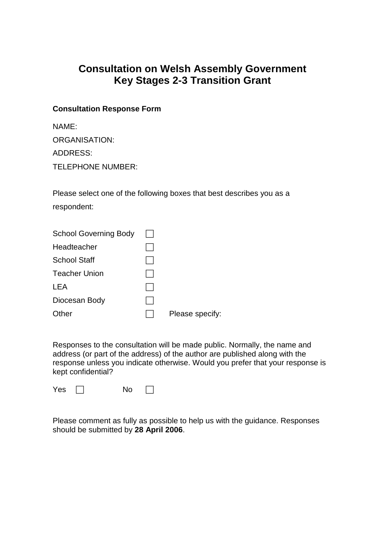# **Consultation on Welsh Assembly Government Key Stages 2-3 Transition Grant**

#### **Consultation Response Form**

| NAME:                    |
|--------------------------|
| ORGANISATION:            |
| <b>ADDRESS:</b>          |
| <b>TELEPHONE NUMBER:</b> |

Please select one of the following boxes that best describes you as a respondent:

| <b>School Governing Body</b> |                 |
|------------------------------|-----------------|
| Headteacher                  |                 |
| <b>School Staff</b>          |                 |
| Teacher Union                |                 |
| LEA                          |                 |
| Diocesan Body                |                 |
| Other                        | Please specify: |

Responses to the consultation will be made public. Normally, the name and address (or part of the address) of the author are published along with the response unless you indicate otherwise. Would you prefer that your response is kept confidential?

| Yes | No |  |
|-----|----|--|
|-----|----|--|

Please comment as fully as possible to help us with the guidance. Responses should be submitted by **28 April 2006**.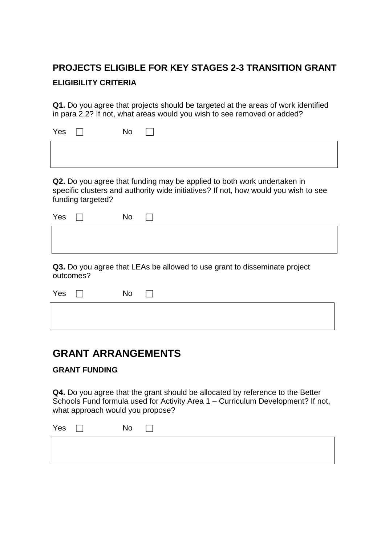# **PROJECTS ELIGIBLE FOR KEY STAGES 2-3 TRANSITION GRANT ELIGIBILITY CRITERIA**

**Q1.** Do you agree that projects should be targeted at the areas of work identified in para 2.2? If not, what areas would you wish to see removed or added?

| Yes $\Box$ | No |  |
|------------|----|--|
|            |    |  |
|            |    |  |

**Q2.** Do you agree that funding may be applied to both work undertaken in specific clusters and authority wide initiatives? If not, how would you wish to see funding targeted?

| Yes $\Box$ | No | $\Box$ |
|------------|----|--------|
|            |    |        |
|            |    |        |

**Q3.** Do you agree that LEAs be allowed to use grant to disseminate project outcomes?

| Yes $\Box$ |  | No $\Box$ |  |  |  |  |
|------------|--|-----------|--|--|--|--|
|            |  |           |  |  |  |  |
|            |  |           |  |  |  |  |

## **GRANT ARRANGEMENTS**

### **GRANT FUNDING**

**Q4.** Do you agree that the grant should be allocated by reference to the Better Schools Fund formula used for Activity Area 1 – Curriculum Development? If not, what approach would you propose?

| Yes | No |  |
|-----|----|--|
|     |    |  |
|     |    |  |
|     |    |  |